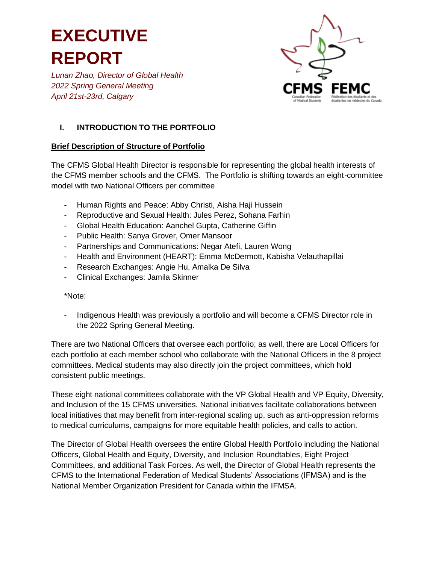*Lunan Zhao, Director of Global Health 2022 Spring General Meeting April 21st-23rd, Calgary*



### **I. INTRODUCTION TO THE PORTFOLIO**

### **Brief Description of Structure of Portfolio**

The CFMS Global Health Director is responsible for representing the global health interests of the CFMS member schools and the CFMS. The Portfolio is shifting towards an eight-committee model with two National Officers per committee

- Human Rights and Peace: Abby Christi, Aisha Haji Hussein
- Reproductive and Sexual Health: Jules Perez, Sohana Farhin
- Global Health Education: Aanchel Gupta, Catherine Giffin
- Public Health: Sanya Grover, Omer Mansoor
- Partnerships and Communications: Negar Atefi, Lauren Wong
- Health and Environment (HEART): Emma McDermott, Kabisha Velauthapillai
- Research Exchanges: Angie Hu, Amalka De Silva
- Clinical Exchanges: Jamila Skinner

\*Note:

- Indigenous Health was previously a portfolio and will become a CFMS Director role in the 2022 Spring General Meeting.

There are two National Officers that oversee each portfolio; as well, there are Local Officers for each portfolio at each member school who collaborate with the National Officers in the 8 project committees. Medical students may also directly join the project committees, which hold consistent public meetings.

These eight national committees collaborate with the VP Global Health and VP Equity, Diversity, and Inclusion of the 15 CFMS universities. National initiatives facilitate collaborations between local initiatives that may benefit from inter-regional scaling up, such as anti-oppression reforms to medical curriculums, campaigns for more equitable health policies, and calls to action.

The Director of Global Health oversees the entire Global Health Portfolio including the National Officers, Global Health and Equity, Diversity, and Inclusion Roundtables, Eight Project Committees, and additional Task Forces. As well, the Director of Global Health represents the CFMS to the International Federation of Medical Students' Associations (IFMSA) and is the National Member Organization President for Canada within the IFMSA.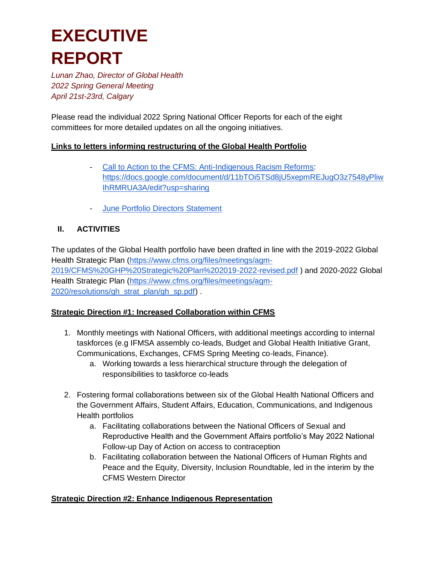*Lunan Zhao, Director of Global Health 2022 Spring General Meeting April 21st-23rd, Calgary*

Please read the individual 2022 Spring National Officer Reports for each of the eight committees for more detailed updates on all the ongoing initiatives.

### **Links to letters informing restructuring of the Global Health Portfolio**

- [Call to Action to the CFMS: Anti-Indigenous Racism Reforms:](https://docs.google.com/document/d/11bTOi5TSd8jU5xepmREJugO3z7548yPliwIhRMRUA3A/edit?usp=sharing) [https://docs.google.com/document/d/11bTOi5TSd8jU5xepmREJugO3z7548yPliw](https://docs.google.com/document/d/11bTOi5TSd8jU5xepmREJugO3z7548yPliwIhRMRUA3A/edit?usp=sharing) [IhRMRUA3A/edit?usp=sharing](https://docs.google.com/document/d/11bTOi5TSd8jU5xepmREJugO3z7548yPliwIhRMRUA3A/edit?usp=sharing)
- [June Portfolio Directors Statement](https://drive.google.com/file/d/1iwNfWS7_FlVFGq6W2mTZ987u6MDNTnKu/view?usp=sharing)

### **II. ACTIVITIES**

The updates of the Global Health portfolio have been drafted in line with the 2019-2022 Global Health Strategic Plan [\(https://www.cfms.org/files/meetings/agm-](https://www.cfms.org/files/meetings/agm-2019/CFMS%20GHP%20Strategic%20Plan%202019-2022-revised.pdf)[2019/CFMS%20GHP%20Strategic%20Plan%202019-2022-revised.pdf](https://www.cfms.org/files/meetings/agm-2019/CFMS%20GHP%20Strategic%20Plan%202019-2022-revised.pdf) ) and 2020-2022 Global Health Strategic Plan [\(https://www.cfms.org/files/meetings/agm-](https://www.cfms.org/files/meetings/agm-2020/resolutions/gh_strat_plan/gh_sp.pdf)[2020/resolutions/gh\\_strat\\_plan/gh\\_sp.pdf\)](https://www.cfms.org/files/meetings/agm-2020/resolutions/gh_strat_plan/gh_sp.pdf) .

### **Strategic Direction #1: Increased Collaboration within CFMS**

- 1. Monthly meetings with National Officers, with additional meetings according to internal taskforces (e.g IFMSA assembly co-leads, Budget and Global Health Initiative Grant, Communications, Exchanges, CFMS Spring Meeting co-leads, Finance).
	- a. Working towards a less hierarchical structure through the delegation of responsibilities to taskforce co-leads
- 2. Fostering formal collaborations between six of the Global Health National Officers and the Government Affairs, Student Affairs, Education, Communications, and Indigenous Health portfolios
	- a. Facilitating collaborations between the National Officers of Sexual and Reproductive Health and the Government Affairs portfolio's May 2022 National Follow-up Day of Action on access to contraception
	- b. Facilitating collaboration between the National Officers of Human Rights and Peace and the Equity, Diversity, Inclusion Roundtable, led in the interim by the CFMS Western Director

### **Strategic Direction #2: Enhance Indigenous Representation**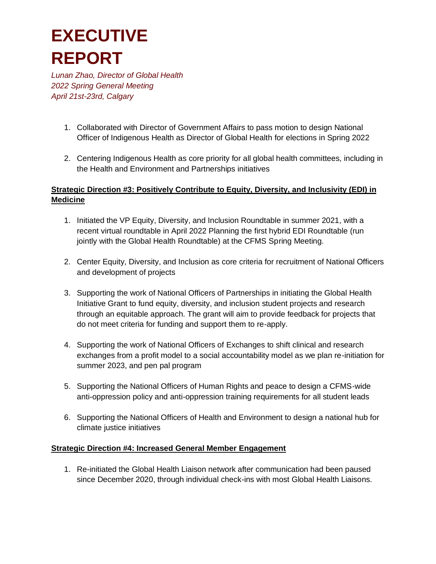*Lunan Zhao, Director of Global Health 2022 Spring General Meeting April 21st-23rd, Calgary*

- 1. Collaborated with Director of Government Affairs to pass motion to design National Officer of Indigenous Health as Director of Global Health for elections in Spring 2022
- 2. Centering Indigenous Health as core priority for all global health committees, including in the Health and Environment and Partnerships initiatives

### **Strategic Direction #3: Positively Contribute to Equity, Diversity, and Inclusivity (EDI) in Medicine**

- 1. Initiated the VP Equity, Diversity, and Inclusion Roundtable in summer 2021, with a recent virtual roundtable in April 2022 Planning the first hybrid EDI Roundtable (run jointly with the Global Health Roundtable) at the CFMS Spring Meeting.
- 2. Center Equity, Diversity, and Inclusion as core criteria for recruitment of National Officers and development of projects
- 3. Supporting the work of National Officers of Partnerships in initiating the Global Health Initiative Grant to fund equity, diversity, and inclusion student projects and research through an equitable approach. The grant will aim to provide feedback for projects that do not meet criteria for funding and support them to re-apply.
- 4. Supporting the work of National Officers of Exchanges to shift clinical and research exchanges from a profit model to a social accountability model as we plan re-initiation for summer 2023, and pen pal program
- 5. Supporting the National Officers of Human Rights and peace to design a CFMS-wide anti-oppression policy and anti-oppression training requirements for all student leads
- 6. Supporting the National Officers of Health and Environment to design a national hub for climate justice initiatives

### **Strategic Direction #4: Increased General Member Engagement**

1. Re-initiated the Global Health Liaison network after communication had been paused since December 2020, through individual check-ins with most Global Health Liaisons.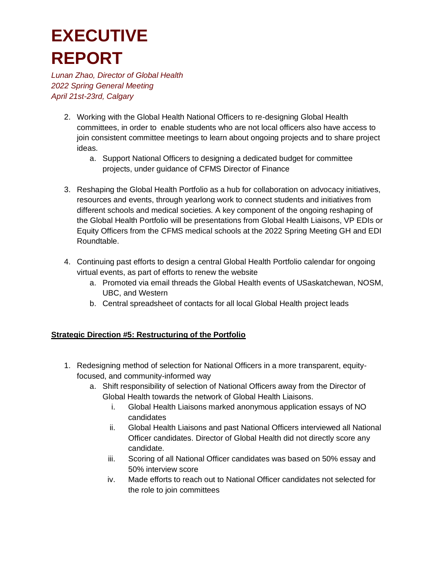*Lunan Zhao, Director of Global Health 2022 Spring General Meeting April 21st-23rd, Calgary*

- 2. Working with the Global Health National Officers to re-designing Global Health committees, in order to enable students who are not local officers also have access to join consistent committee meetings to learn about ongoing projects and to share project ideas.
	- a. Support National Officers to designing a dedicated budget for committee projects, under guidance of CFMS Director of Finance
- 3. Reshaping the Global Health Portfolio as a hub for collaboration on advocacy initiatives, resources and events, through yearlong work to connect students and initiatives from different schools and medical societies. A key component of the ongoing reshaping of the Global Health Portfolio will be presentations from Global Health Liaisons, VP EDIs or Equity Officers from the CFMS medical schools at the 2022 Spring Meeting GH and EDI Roundtable.
- 4. Continuing past efforts to design a central Global Health Portfolio calendar for ongoing virtual events, as part of efforts to renew the website
	- a. Promoted via email threads the Global Health events of USaskatchewan, NOSM, UBC, and Western
	- b. Central spreadsheet of contacts for all local Global Health project leads

### **Strategic Direction #5: Restructuring of the Portfolio**

- 1. Redesigning method of selection for National Officers in a more transparent, equityfocused, and community-informed way
	- a. Shift responsibility of selection of National Officers away from the Director of Global Health towards the network of Global Health Liaisons.
		- i. Global Health Liaisons marked anonymous application essays of NO candidates
		- ii. Global Health Liaisons and past National Officers interviewed all National Officer candidates. Director of Global Health did not directly score any candidate.
		- iii. Scoring of all National Officer candidates was based on 50% essay and 50% interview score
		- iv. Made efforts to reach out to National Officer candidates not selected for the role to join committees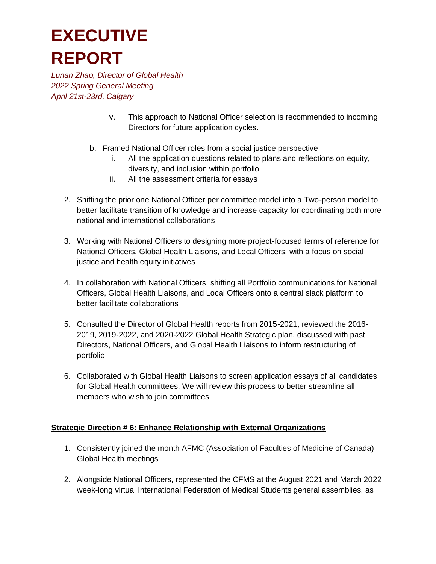*Lunan Zhao, Director of Global Health 2022 Spring General Meeting April 21st-23rd, Calgary*

- v. This approach to National Officer selection is recommended to incoming Directors for future application cycles.
- b. Framed National Officer roles from a social justice perspective
	- i. All the application questions related to plans and reflections on equity, diversity, and inclusion within portfolio
	- ii. All the assessment criteria for essays
- 2. Shifting the prior one National Officer per committee model into a Two-person model to better facilitate transition of knowledge and increase capacity for coordinating both more national and international collaborations
- 3. Working with National Officers to designing more project-focused terms of reference for National Officers, Global Health Liaisons, and Local Officers, with a focus on social justice and health equity initiatives
- 4. In collaboration with National Officers, shifting all Portfolio communications for National Officers, Global Health Liaisons, and Local Officers onto a central slack platform to better facilitate collaborations
- 5. Consulted the Director of Global Health reports from 2015-2021, reviewed the 2016- 2019, 2019-2022, and 2020-2022 Global Health Strategic plan, discussed with past Directors, National Officers, and Global Health Liaisons to inform restructuring of portfolio
- 6. Collaborated with Global Health Liaisons to screen application essays of all candidates for Global Health committees. We will review this process to better streamline all members who wish to join committees

### **Strategic Direction # 6: Enhance Relationship with External Organizations**

- 1. Consistently joined the month AFMC (Association of Faculties of Medicine of Canada) Global Health meetings
- 2. Alongside National Officers, represented the CFMS at the August 2021 and March 2022 week-long virtual International Federation of Medical Students general assemblies, as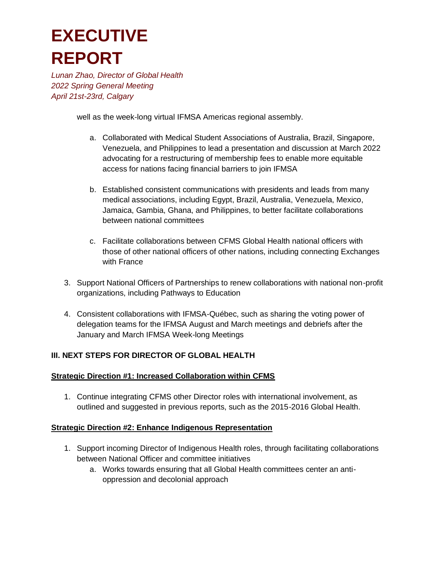*Lunan Zhao, Director of Global Health 2022 Spring General Meeting April 21st-23rd, Calgary*

well as the week-long virtual IFMSA Americas regional assembly.

- a. Collaborated with Medical Student Associations of Australia, Brazil, Singapore, Venezuela, and Philippines to lead a presentation and discussion at March 2022 advocating for a restructuring of membership fees to enable more equitable access for nations facing financial barriers to join IFMSA
- b. Established consistent communications with presidents and leads from many medical associations, including Egypt, Brazil, Australia, Venezuela, Mexico, Jamaica, Gambia, Ghana, and Philippines, to better facilitate collaborations between national committees
- c. Facilitate collaborations between CFMS Global Health national officers with those of other national officers of other nations, including connecting Exchanges with France
- 3. Support National Officers of Partnerships to renew collaborations with national non-profit organizations, including Pathways to Education
- 4. Consistent collaborations with IFMSA-Québec, such as sharing the voting power of delegation teams for the IFMSA August and March meetings and debriefs after the January and March IFMSA Week-long Meetings

### **III. NEXT STEPS FOR DIRECTOR OF GLOBAL HEALTH**

### **Strategic Direction #1: Increased Collaboration within CFMS**

1. Continue integrating CFMS other Director roles with international involvement, as outlined and suggested in previous reports, such as the 2015-2016 Global Health.

### **Strategic Direction #2: Enhance Indigenous Representation**

- 1. Support incoming Director of Indigenous Health roles, through facilitating collaborations between National Officer and committee initiatives
	- a. Works towards ensuring that all Global Health committees center an antioppression and decolonial approach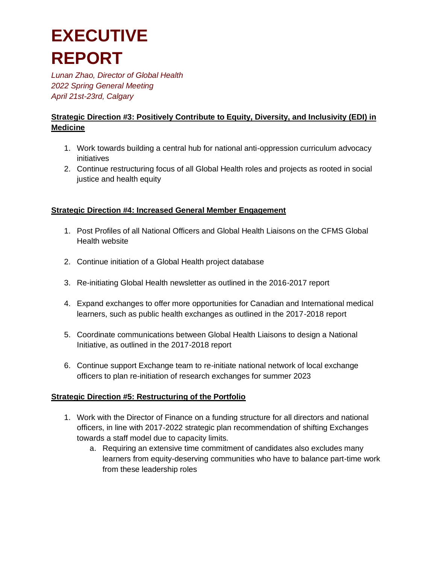*Lunan Zhao, Director of Global Health 2022 Spring General Meeting April 21st-23rd, Calgary*

### **Strategic Direction #3: Positively Contribute to Equity, Diversity, and Inclusivity (EDI) in Medicine**

- 1. Work towards building a central hub for national anti-oppression curriculum advocacy initiatives
- 2. Continue restructuring focus of all Global Health roles and projects as rooted in social justice and health equity

### **Strategic Direction #4: Increased General Member Engagement**

- 1. Post Profiles of all National Officers and Global Health Liaisons on the CFMS Global Health website
- 2. Continue initiation of a Global Health project database
- 3. Re-initiating Global Health newsletter as outlined in the 2016-2017 report
- 4. Expand exchanges to offer more opportunities for Canadian and International medical learners, such as public health exchanges as outlined in the 2017-2018 report
- 5. Coordinate communications between Global Health Liaisons to design a National Initiative, as outlined in the 2017-2018 report
- 6. Continue support Exchange team to re-initiate national network of local exchange officers to plan re-initiation of research exchanges for summer 2023

### **Strategic Direction #5: Restructuring of the Portfolio**

- 1. Work with the Director of Finance on a funding structure for all directors and national officers, in line with 2017-2022 strategic plan recommendation of shifting Exchanges towards a staff model due to capacity limits.
	- a. Requiring an extensive time commitment of candidates also excludes many learners from equity-deserving communities who have to balance part-time work from these leadership roles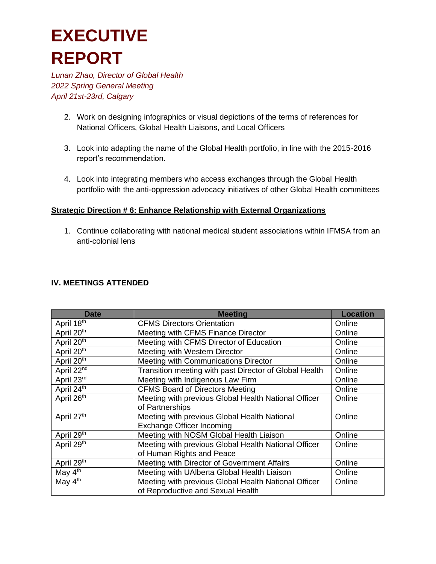*Lunan Zhao, Director of Global Health 2022 Spring General Meeting April 21st-23rd, Calgary*

- 2. Work on designing infographics or visual depictions of the terms of references for National Officers, Global Health Liaisons, and Local Officers
- 3. Look into adapting the name of the Global Health portfolio, in line with the 2015-2016 report's recommendation.
- 4. Look into integrating members who access exchanges through the Global Health portfolio with the anti-oppression advocacy initiatives of other Global Health committees

#### **Strategic Direction # 6: Enhance Relationship with External Organizations**

1. Continue collaborating with national medical student associations within IFMSA from an anti-colonial lens

#### **IV. MEETINGS ATTENDED**

| <b>Date</b>            | <b>Meeting</b>                                         | <b>Location</b> |
|------------------------|--------------------------------------------------------|-----------------|
| April 18th             | <b>CFMS Directors Orientation</b>                      | Online          |
| April 20 <sup>th</sup> | Meeting with CFMS Finance Director                     | Online          |
| April 20 <sup>th</sup> | Meeting with CFMS Director of Education                | Online          |
| April 20 <sup>th</sup> | Meeting with Western Director                          | Online          |
| April 20 <sup>th</sup> | Meeting with Communications Director                   | Online          |
| April $22^{nd}$        | Transition meeting with past Director of Global Health | Online          |
| April 23rd             | Meeting with Indigenous Law Firm                       | Online          |
| April $24^{th}$        | <b>CFMS Board of Directors Meeting</b>                 | Online          |
| April 26 <sup>th</sup> | Meeting with previous Global Health National Officer   | Online          |
|                        | of Partnerships                                        |                 |
| April 27th             | Meeting with previous Global Health National           | Online          |
|                        | Exchange Officer Incoming                              |                 |
| April 29th             | Meeting with NOSM Global Health Liaison                | Online          |
| April 29 <sup>th</sup> | Meeting with previous Global Health National Officer   | Online          |
|                        | of Human Rights and Peace                              |                 |
| April 29 <sup>th</sup> | Meeting with Director of Government Affairs            | Online          |
| May $4^{th}$           | Meeting with UAlberta Global Health Liaison            | Online          |
| May 4 <sup>th</sup>    | Meeting with previous Global Health National Officer   | Online          |
|                        | of Reproductive and Sexual Health                      |                 |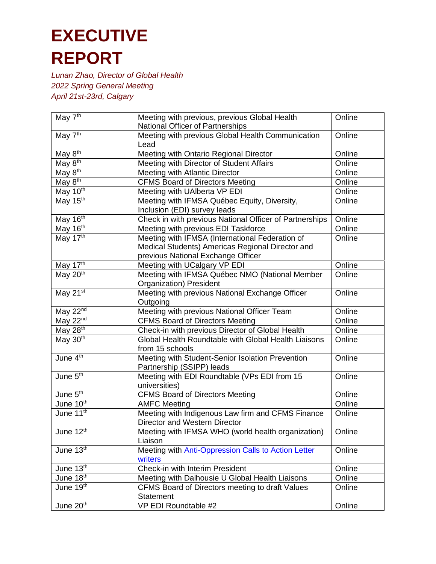| May 7 <sup>th</sup>      | Meeting with previous, previous Global Health           | Online |
|--------------------------|---------------------------------------------------------|--------|
|                          | National Officer of Partnerships                        |        |
| May $7^{\text{th}}$      | Meeting with previous Global Health Communication       | Online |
|                          | Lead                                                    |        |
| May $8th$                | Meeting with Ontario Regional Director                  | Online |
| May 8 <sup>th</sup>      | Meeting with Director of Student Affairs                | Online |
| May 8 <sup>th</sup>      | Meeting with Atlantic Director                          | Online |
| May 8 <sup>th</sup>      | <b>CFMS Board of Directors Meeting</b>                  | Online |
| May $10^{th}$            | Meeting with UAlberta VP EDI                            | Online |
| May 15 <sup>th</sup>     | Meeting with IFMSA Québec Equity, Diversity,            | Online |
|                          | Inclusion (EDI) survey leads                            |        |
| May 16th                 | Check in with previous National Officer of Partnerships | Online |
| May $16^{\overline{th}}$ | Meeting with previous EDI Taskforce                     | Online |
| May 17th                 | Meeting with IFMSA (International Federation of         | Online |
|                          | Medical Students) Americas Regional Director and        |        |
|                          | previous National Exchange Officer                      |        |
| May 17th                 | Meeting with UCalgary VP EDI                            | Online |
| May $20th$               | Meeting with IFMSA Québec NMO (National Member          | Online |
|                          | Organization) President                                 |        |
| May 21st                 | Meeting with previous National Exchange Officer         | Online |
|                          | Outgoing                                                |        |
| May $22^{nd}$            | Meeting with previous National Officer Team             | Online |
| May $22^{nd}$            | <b>CFMS Board of Directors Meeting</b>                  | Online |
| May 28th                 | Check-in with previous Director of Global Health        | Online |
| May 30 <sup>th</sup>     | Global Health Roundtable with Global Health Liaisons    | Online |
|                          | from 15 schools                                         |        |
| June $4th$               | Meeting with Student-Senior Isolation Prevention        | Online |
|                          | Partnership (SSIPP) leads                               |        |
| June $5th$               | Meeting with EDI Roundtable (VPs EDI from 15            | Online |
|                          | universities)                                           |        |
| June $5th$               | <b>CFMS Board of Directors Meeting</b>                  | Online |
| June 10 <sup>th</sup>    | <b>AMFC Meeting</b>                                     | Online |
| June 11 <sup>th</sup>    | Meeting with Indigenous Law firm and CFMS Finance       | Online |
|                          | Director and Western Director                           |        |
| June 12th                | Meeting with IFMSA WHO (world health organization)      | Online |
|                          | Liaison                                                 |        |
| June 13th                | Meeting with Anti-Oppression Calls to Action Letter     | Online |
|                          | writers                                                 |        |
| June $13th$              | <b>Check-in with Interim President</b>                  | Online |
| June 18th                | Meeting with Dalhousie U Global Health Liaisons         | Online |
| June $19th$              | CFMS Board of Directors meeting to draft Values         | Online |
|                          | Statement                                               |        |
| June 20 <sup>th</sup>    | VP EDI Roundtable #2                                    | Online |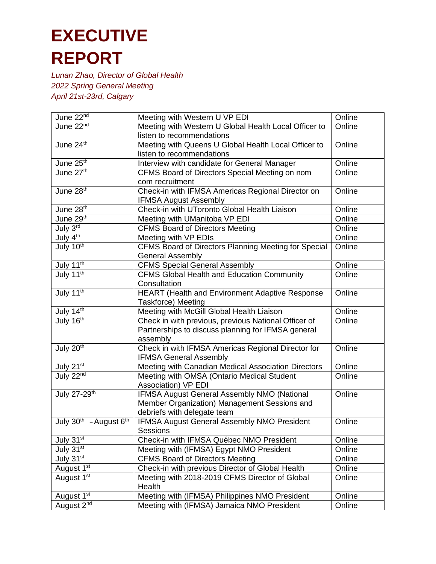| June 22nd                        | Meeting with Western U VP EDI                         | Online |
|----------------------------------|-------------------------------------------------------|--------|
| June 22 <sup>nd</sup>            | Meeting with Western U Global Health Local Officer to | Online |
|                                  | listen to recommendations                             |        |
| June 24th                        | Meeting with Queens U Global Health Local Officer to  | Online |
|                                  | listen to recommendations                             |        |
| June 25 <sup>th</sup>            | Interview with candidate for General Manager          | Online |
| June 27th                        | CFMS Board of Directors Special Meeting on nom        | Online |
|                                  | com recruitment                                       |        |
| June 28 <sup>th</sup>            | Check-in with IFMSA Americas Regional Director on     | Online |
|                                  | <b>IFMSA August Assembly</b>                          |        |
| June 28th                        | Check-in with UToronto Global Health Liaison          | Online |
| June 29th                        | Meeting with UManitoba VP EDI                         | Online |
| July 3 <sup>rd</sup>             | <b>CFMS Board of Directors Meeting</b>                | Online |
| July $4^{\text{th}}$             | Meeting with VP EDIs                                  | Online |
| July 10 <sup>th</sup>            | CFMS Board of Directors Planning Meeting for Special  | Online |
|                                  | <b>General Assembly</b>                               |        |
| July 11 <sup>th</sup>            | <b>CFMS Special General Assembly</b>                  | Online |
| July $11^{th}$                   | <b>CFMS Global Health and Education Community</b>     | Online |
|                                  | Consultation                                          |        |
| July 11 <sup>th</sup>            | HEART (Health and Environment Adaptive Response       | Online |
|                                  | <b>Taskforce) Meeting</b>                             |        |
| July $14^{\text{th}}$            | Meeting with McGill Global Health Liaison             | Online |
| July 16 <sup>th</sup>            | Check in with previous, previous National Officer of  | Online |
|                                  | Partnerships to discuss planning for IFMSA general    |        |
|                                  | assembly                                              |        |
| July 20 <sup>th</sup>            | Check in with IFMSA Americas Regional Director for    | Online |
|                                  | <b>IFMSA General Assembly</b>                         |        |
| July 21st                        | Meeting with Canadian Medical Association Directors   | Online |
| July 22nd                        | Meeting with OMSA (Ontario Medical Student            | Online |
|                                  | Association) VP EDI                                   |        |
| July 27-29 <sup>th</sup>         | IFMSA August General Assembly NMO (National           | Online |
|                                  | Member Organization) Management Sessions and          |        |
|                                  | debriefs with delegate team                           |        |
| July $30^{th}$ - August $6^{th}$ | <b>IFMSA August General Assembly NMO President</b>    | Online |
|                                  | <b>Sessions</b>                                       |        |
| July $3\overline{1^{st}}$        | Check-in with IFMSA Québec NMO President              | Online |
| July 31st                        | Meeting with (IFMSA) Egypt NMO President              | Online |
| July 31st                        | <b>CFMS Board of Directors Meeting</b>                | Online |
| August 1 <sup>st</sup>           | Check-in with previous Director of Global Health      | Online |
| August 1 <sup>st</sup>           | Meeting with 2018-2019 CFMS Director of Global        | Online |
|                                  | Health                                                |        |
| August <sub>1st</sub>            | Meeting with (IFMSA) Philippines NMO President        | Online |
| August 2 <sup>nd</sup>           | Meeting with (IFMSA) Jamaica NMO President            | Online |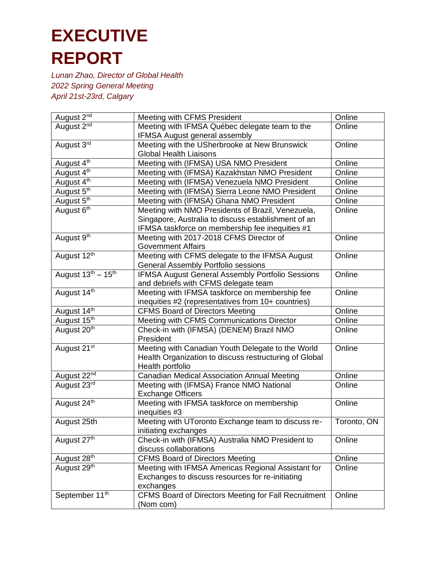| August 2 <sup>nd</sup>     | Meeting with CFMS President                             | Online      |
|----------------------------|---------------------------------------------------------|-------------|
| August 2 <sup>nd</sup>     | Meeting with IFMSA Québec delegate team to the          | Online      |
|                            | IFMSA August general assembly                           |             |
| August 3rd                 | Meeting with the USherbrooke at New Brunswick           | Online      |
|                            | <b>Global Health Liaisons</b>                           |             |
| August 4 <sup>th</sup>     | Meeting with (IFMSA) USA NMO President                  | Online      |
| August 4th                 | Meeting with (IFMSA) Kazakhstan NMO President           | Online      |
| August 4 <sup>th</sup>     | Meeting with (IFMSA) Venezuela NMO President            | Online      |
| August 5th                 | Meeting with (IFMSA) Sierra Leone NMO President         | Online      |
| August 5 <sup>th</sup>     | Meeting with (IFMSA) Ghana NMO President                | Online      |
| August 6 <sup>th</sup>     | Meeting with NMO Presidents of Brazil, Venezuela,       | Online      |
|                            | Singapore, Australia to discuss establishment of an     |             |
|                            | IFMSA taskforce on membership fee inequities #1         |             |
| August 9th                 | Meeting with 2017-2018 CFMS Director of                 | Online      |
|                            | <b>Government Affairs</b>                               |             |
| August 12 <sup>th</sup>    | Meeting with CFMS delegate to the IFMSA August          | Online      |
|                            | General Assembly Portfolio sessions                     |             |
| August $13^{th} - 15^{th}$ | <b>IFMSA August General Assembly Portfolio Sessions</b> | Online      |
|                            | and debriefs with CFMS delegate team                    |             |
| August 14th                | Meeting with IFMSA taskforce on membership fee          | Online      |
|                            | inequities #2 (representatives from 10+ countries)      |             |
| August 14th                | <b>CFMS Board of Directors Meeting</b>                  | Online      |
| August 15th                | Meeting with CFMS Communications Director               | Online      |
| August 20 <sup>th</sup>    | Check-in with (IFMSA) (DENEM) Brazil NMO                | Online      |
|                            | President                                               |             |
| August 21 <sup>st</sup>    | Meeting with Canadian Youth Delegate to the World       | Online      |
|                            | Health Organization to discuss restructuring of Global  |             |
|                            | Health portfolio                                        |             |
| August 22 <sup>nd</sup>    | Canadian Medical Association Annual Meeting             | Online      |
| August 23rd                | Meeting with (IFMSA) France NMO National                | Online      |
|                            | <b>Exchange Officers</b>                                |             |
| August 24th                | Meeting with IFMSA taskforce on membership              | Online      |
|                            | inequities #3                                           |             |
| August 25th                | Meeting with UToronto Exchange team to discuss re-      | Toronto, ON |
|                            | initiating exchanges                                    |             |
| August 27 <sup>th</sup>    | Check-in with (IFMSA) Australia NMO President to        | Online      |
|                            | discuss collaborations                                  |             |
| August 28 <sup>th</sup>    | <b>CFMS Board of Directors Meeting</b>                  | Online      |
| August 29 <sup>th</sup>    | Meeting with IFMSA Americas Regional Assistant for      | Online      |
|                            | Exchanges to discuss resources for re-initiating        |             |
|                            | exchanges                                               |             |
| September 11 <sup>th</sup> | CFMS Board of Directors Meeting for Fall Recruitment    | Online      |
|                            | (Nom com)                                               |             |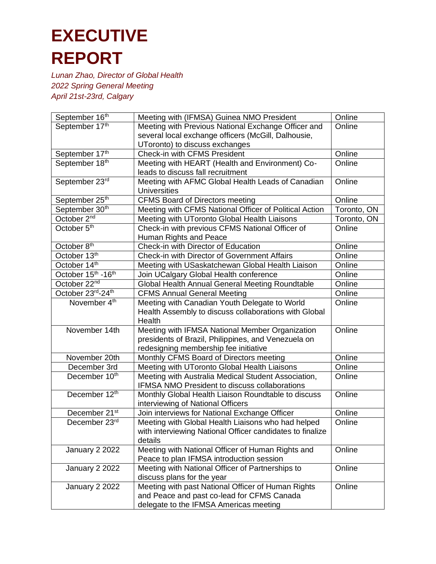| September 16th            | Meeting with (IFMSA) Guinea NMO President                                                        | Online      |
|---------------------------|--------------------------------------------------------------------------------------------------|-------------|
| September 17th            | Meeting with Previous National Exchange Officer and                                              | Online      |
|                           | several local exchange officers (McGill, Dalhousie,                                              |             |
|                           | UToronto) to discuss exchanges                                                                   |             |
| September 17th            | Check-in with CFMS President                                                                     | Online      |
| September 18th            | Meeting with HEART (Health and Environment) Co-                                                  | Online      |
|                           | leads to discuss fall recruitment                                                                |             |
| September 23rd            | Meeting with AFMC Global Health Leads of Canadian<br><b>Universities</b>                         | Online      |
| September <sub>25th</sub> | <b>CFMS Board of Directors meeting</b>                                                           | Online      |
| September 30th            | Meeting with CFMS National Officer of Political Action                                           | Toronto, ON |
| October 2 <sup>nd</sup>   | Meeting with UToronto Global Health Liaisons                                                     | Toronto, ON |
| October 5 <sup>th</sup>   | Check-in with previous CFMS National Officer of                                                  | Online      |
|                           | Human Rights and Peace                                                                           |             |
| October 8 <sup>th</sup>   | Check-in with Director of Education                                                              | Online      |
| October 13 <sup>th</sup>  | Check-in with Director of Government Affairs                                                     | Online      |
| October 14th              | Meeting with USaskatchewan Global Health Liaison                                                 | Online      |
| October 15th -16th        | Join UCalgary Global Health conference                                                           | Online      |
| October 22 <sup>nd</sup>  | Global Health Annual General Meeting Roundtable                                                  | Online      |
| October 23rd-24th         | <b>CFMS Annual General Meeting</b>                                                               | Online      |
| November 4 <sup>th</sup>  | Meeting with Canadian Youth Delegate to World                                                    | Online      |
|                           | Health Assembly to discuss collaborations with Global                                            |             |
|                           | Health                                                                                           |             |
| November 14th             | Meeting with IFMSA National Member Organization                                                  | Online      |
|                           | presidents of Brazil, Philippines, and Venezuela on                                              |             |
|                           | redesigning membership fee initiative                                                            |             |
| November 20th             | Monthly CFMS Board of Directors meeting                                                          | Online      |
| December 3rd              | Meeting with UToronto Global Health Liaisons                                                     | Online      |
| December 10th             | Meeting with Australia Medical Student Association,                                              | Online      |
|                           | IFMSA NMO President to discuss collaborations                                                    |             |
| December 12th             | Monthly Global Health Liaison Roundtable to discuss                                              | Online      |
|                           | interviewing of National Officers                                                                |             |
| December 21 <sup>st</sup> | Join interviews for National Exchange Officer                                                    | Online      |
| December 23rd             | Meeting with Global Health Liaisons who had helped                                               | Online      |
|                           | with interviewing National Officer candidates to finalize                                        |             |
|                           | details                                                                                          |             |
| January 2 2022            | Meeting with National Officer of Human Rights and                                                | Online      |
|                           | Peace to plan IFMSA introduction session                                                         |             |
| January 2 2022            | Meeting with National Officer of Partnerships to                                                 | Online      |
|                           | discuss plans for the year                                                                       | Online      |
| January 2 2022            | Meeting with past National Officer of Human Rights<br>and Peace and past co-lead for CFMS Canada |             |
|                           | delegate to the IFMSA Americas meeting                                                           |             |
|                           |                                                                                                  |             |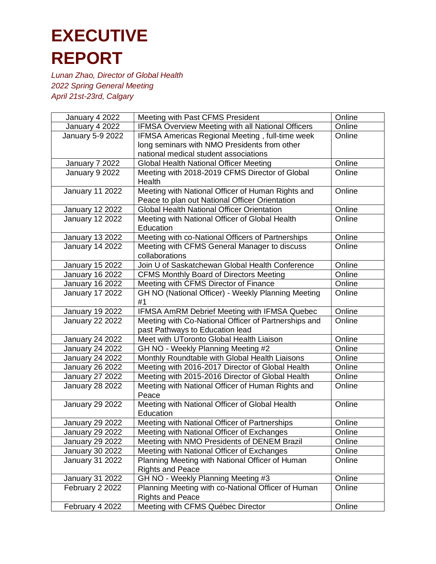| January 4 2022                            | Meeting with Past CFMS President                              | Online |
|-------------------------------------------|---------------------------------------------------------------|--------|
| January 4 2022                            | <b>IFMSA Overview Meeting with all National Officers</b>      | Online |
| January 5-9 2022                          | IFMSA Americas Regional Meeting, full-time week               | Online |
|                                           | long seminars with NMO Presidents from other                  |        |
|                                           | national medical student associations                         |        |
| January 7 2022                            | <b>Global Health National Officer Meeting</b>                 | Online |
| January 9 2022                            | Meeting with 2018-2019 CFMS Director of Global                | Online |
|                                           | Health                                                        |        |
| <b>January 11 2022</b>                    | Meeting with National Officer of Human Rights and             | Online |
|                                           | Peace to plan out National Officer Orientation                |        |
| <b>January 12 2022</b>                    | <b>Global Health National Officer Orientation</b>             | Online |
| <b>January 12 2022</b>                    | Meeting with National Officer of Global Health                | Online |
|                                           | Education                                                     |        |
| <b>January 13 2022</b>                    | Meeting with co-National Officers of Partnerships             | Online |
| <b>January 14 2022</b>                    | Meeting with CFMS General Manager to discuss                  | Online |
|                                           | collaborations                                                |        |
| <b>January 15 2022</b>                    | Join U of Saskatchewan Global Health Conference               | Online |
| <b>January 16 2022</b>                    | <b>CFMS Monthly Board of Directors Meeting</b>                | Online |
| <b>January 16 2022</b>                    | Meeting with CFMS Director of Finance                         | Online |
| <b>January 17 2022</b>                    | GH NO (National Officer) - Weekly Planning Meeting            | Online |
|                                           | #1                                                            |        |
| <b>January 19 2022</b>                    | IFMSA AmRM Debrief Meeting with IFMSA Quebec                  | Online |
| <b>January 22 2022</b>                    | Meeting with Co-National Officer of Partnerships and          | Online |
|                                           | past Pathways to Education lead                               |        |
| <b>January 24 2022</b>                    | Meet with UToronto Global Health Liaison                      | Online |
| <b>January 24 2022</b>                    | GH NO - Weekly Planning Meeting #2                            | Online |
| <b>January 24 2022</b>                    | Monthly Roundtable with Global Health Liaisons                | Online |
| <b>January 26 2022</b>                    | Meeting with 2016-2017 Director of Global Health              | Online |
| <b>January 27 2022</b>                    | Meeting with 2015-2016 Director of Global Health              | Online |
| <b>January 28 2022</b>                    | Meeting with National Officer of Human Rights and             | Online |
|                                           | Peace                                                         |        |
| <b>January 29 2022</b>                    | Meeting with National Officer of Global Health<br>Education   | Online |
|                                           |                                                               | Online |
| <b>January 29 2022</b>                    | Meeting with National Officer of Partnerships                 |        |
| <b>January 29 2022</b>                    | Meeting with National Officer of Exchanges                    | Online |
| <b>January 29 2022</b>                    | Meeting with NMO Presidents of DENEM Brazil                   | Online |
| <b>January 30 2022</b>                    | Meeting with National Officer of Exchanges                    | Online |
| January 31 2022                           | Planning Meeting with National Officer of Human               | Online |
|                                           | <b>Rights and Peace</b><br>GH NO - Weekly Planning Meeting #3 | Online |
| <b>January 31 2022</b><br>February 2 2022 | Planning Meeting with co-National Officer of Human            | Online |
|                                           | <b>Rights and Peace</b>                                       |        |
| February 4 2022                           | Meeting with CFMS Québec Director                             | Online |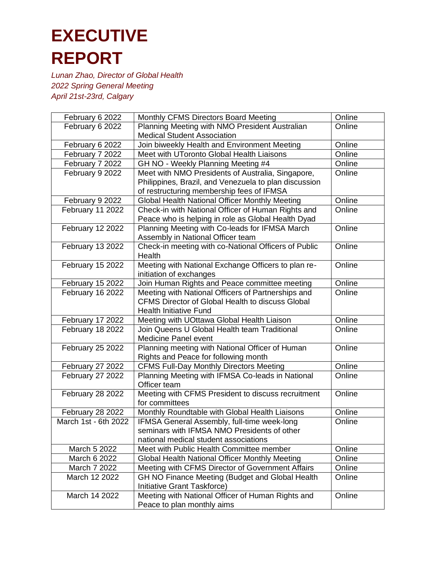| February 6 2022      | Monthly CFMS Directors Board Meeting                    | Online |
|----------------------|---------------------------------------------------------|--------|
| February 6 2022      | Planning Meeting with NMO President Australian          | Online |
|                      | <b>Medical Student Association</b>                      |        |
| February 6 2022      | Join biweekly Health and Environment Meeting            | Online |
| February 7 2022      | Meet with UToronto Global Health Liaisons               | Online |
| February 7 2022      | GH NO - Weekly Planning Meeting #4                      | Online |
| February 9 2022      | Meet with NMO Presidents of Australia, Singapore,       | Online |
|                      | Philippines, Brazil, and Venezuela to plan discussion   |        |
|                      | of restructuring membership fees of IFMSA               |        |
| February 9 2022      | Global Health National Officer Monthly Meeting          | Online |
| February 11 2022     | Check-in with National Officer of Human Rights and      | Online |
|                      | Peace who is helping in role as Global Health Dyad      |        |
| February 12 2022     | Planning Meeting with Co-leads for IFMSA March          | Online |
|                      | Assembly in National Officer team                       |        |
| February 13 2022     | Check-in meeting with co-National Officers of Public    | Online |
|                      | Health                                                  |        |
| February 15 2022     | Meeting with National Exchange Officers to plan re-     | Online |
|                      | initiation of exchanges                                 |        |
| February 15 2022     | Join Human Rights and Peace committee meeting           | Online |
| February 16 2022     | Meeting with National Officers of Partnerships and      | Online |
|                      | <b>CFMS Director of Global Health to discuss Global</b> |        |
|                      | <b>Health Initiative Fund</b>                           |        |
| February 17 2022     | Meeting with UOttawa Global Health Liaison              | Online |
| February 18 2022     | Join Queens U Global Health team Traditional            | Online |
|                      | <b>Medicine Panel event</b>                             |        |
| February 25 2022     | Planning meeting with National Officer of Human         | Online |
|                      | Rights and Peace for following month                    |        |
| February 27 2022     | <b>CFMS Full-Day Monthly Directors Meeting</b>          | Online |
| February 27 2022     | Planning Meeting with IFMSA Co-leads in National        | Online |
|                      | Officer team                                            |        |
| February 28 2022     | Meeting with CFMS President to discuss recruitment      | Online |
|                      | for committees                                          |        |
| February 28 2022     | Monthly Roundtable with Global Health Liaisons          | Online |
| March 1st - 6th 2022 | IFMSA General Assembly, full-time week-long             | Online |
|                      | seminars with IFMSA NMO Presidents of other             |        |
|                      | national medical student associations                   |        |
| March 5 2022         | Meet with Public Health Committee member                | Online |
| March 6 2022         | Global Health National Officer Monthly Meeting          | Online |
| March 7 2022         | Meeting with CFMS Director of Government Affairs        | Online |
| March 12 2022        | GH NO Finance Meeting (Budget and Global Health         | Online |
|                      | <b>Initiative Grant Taskforce)</b>                      |        |
| March 14 2022        | Meeting with National Officer of Human Rights and       | Online |
|                      | Peace to plan monthly aims                              |        |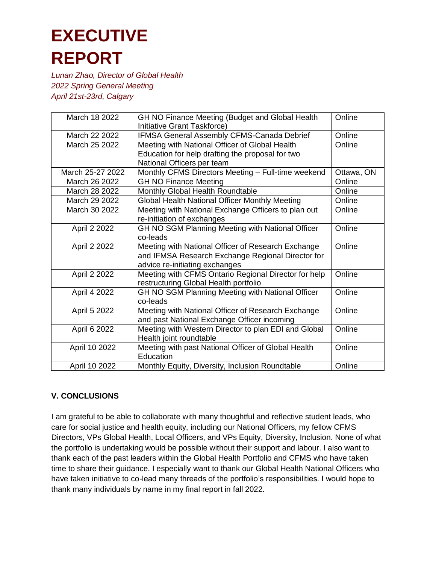*Lunan Zhao, Director of Global Health 2022 Spring General Meeting April 21st-23rd, Calgary*

| March 18 2022    | GH NO Finance Meeting (Budget and Global Health<br>Initiative Grant Taskforce) | Online     |
|------------------|--------------------------------------------------------------------------------|------------|
| March 22 2022    | IFMSA General Assembly CFMS-Canada Debrief                                     | Online     |
| March 25 2022    | Meeting with National Officer of Global Health                                 | Online     |
|                  | Education for help drafting the proposal for two                               |            |
|                  | National Officers per team                                                     |            |
| March 25-27 2022 | Monthly CFMS Directors Meeting - Full-time weekend                             | Ottawa, ON |
| March 26 2022    | <b>GH NO Finance Meeting</b>                                                   | Online     |
| March 28 2022    | Monthly Global Health Roundtable                                               | Online     |
| March 29 2022    | Global Health National Officer Monthly Meeting                                 | Online     |
| March 30 2022    | Meeting with National Exchange Officers to plan out                            | Online     |
|                  | re-initiation of exchanges                                                     |            |
| April 2 2022     | GH NO SGM Planning Meeting with National Officer                               | Online     |
|                  | co-leads                                                                       |            |
| April 2 2022     | Meeting with National Officer of Research Exchange                             | Online     |
|                  | and IFMSA Research Exchange Regional Director for                              |            |
|                  | advice re-initiating exchanges                                                 |            |
| April 2 2022     | Meeting with CFMS Ontario Regional Director for help                           | Online     |
|                  | restructuring Global Health portfolio                                          |            |
| April 4 2022     | GH NO SGM Planning Meeting with National Officer                               | Online     |
|                  | co-leads                                                                       |            |
| April 5 2022     | Meeting with National Officer of Research Exchange                             | Online     |
|                  | and past National Exchange Officer incoming                                    |            |
| April 6 2022     | Meeting with Western Director to plan EDI and Global                           | Online     |
|                  | Health joint roundtable                                                        |            |
| April 10 2022    | Meeting with past National Officer of Global Health                            | Online     |
|                  | Education                                                                      |            |
| April 10 2022    | Monthly Equity, Diversity, Inclusion Roundtable                                | Online     |

### **V. CONCLUSIONS**

I am grateful to be able to collaborate with many thoughtful and reflective student leads, who care for social justice and health equity, including our National Officers, my fellow CFMS Directors, VPs Global Health, Local Officers, and VPs Equity, Diversity, Inclusion. None of what the portfolio is undertaking would be possible without their support and labour. I also want to thank each of the past leaders within the Global Health Portfolio and CFMS who have taken time to share their guidance. I especially want to thank our Global Health National Officers who have taken initiative to co-lead many threads of the portfolio's responsibilities. I would hope to thank many individuals by name in my final report in fall 2022.